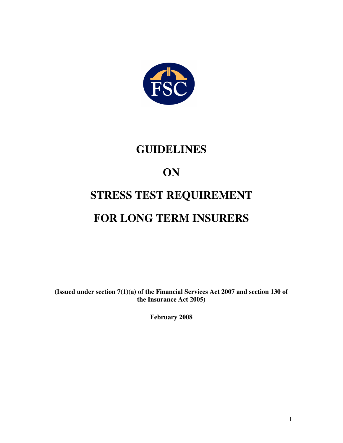

### **GUIDELINES**

## **ON**

# **STRESS TEST REQUIREMENT FOR LONG TERM INSURERS**

**(Issued under section 7(1)(a) of the Financial Services Act 2007 and section 130 of the Insurance Act 2005)** 

**February 2008**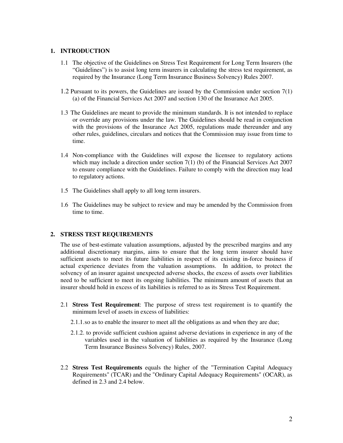#### **1. INTRODUCTION**

- 1.1 The objective of the Guidelines on Stress Test Requirement for Long Term Insurers (the "Guidelines") is to assist long term insurers in calculating the stress test requirement, as required by the Insurance (Long Term Insurance Business Solvency) Rules 2007.
- 1.2 Pursuant to its powers, the Guidelines are issued by the Commission under section 7(1) (a) of the Financial Services Act 2007 and section 130 of the Insurance Act 2005.
- 1.3 The Guidelines are meant to provide the minimum standards. It is not intended to replace or override any provisions under the law. The Guidelines should be read in conjunction with the provisions of the Insurance Act 2005, regulations made thereunder and any other rules, guidelines, circulars and notices that the Commission may issue from time to time.
- 1.4 Non-compliance with the Guidelines will expose the licensee to regulatory actions which may include a direction under section  $7(1)$  (b) of the Financial Services Act 2007 to ensure compliance with the Guidelines. Failure to comply with the direction may lead to regulatory actions.
- 1.5 The Guidelines shall apply to all long term insurers.
- 1.6 The Guidelines may be subject to review and may be amended by the Commission from time to time.

#### **2. STRESS TEST REQUIREMENTS**

The use of best-estimate valuation assumptions, adjusted by the prescribed margins and any additional discretionary margins, aims to ensure that the long term insurer should have sufficient assets to meet its future liabilities in respect of its existing in-force business if actual experience deviates from the valuation assumptions. In addition, to protect the solvency of an insurer against unexpected adverse shocks, the excess of assets over liabilities need to be sufficient to meet its ongoing liabilities. The minimum amount of assets that an insurer should hold in excess of its liabilities is referred to as its Stress Test Requirement.

- 2.1 **Stress Test Requirement**: The purpose of stress test requirement is to quantify the minimum level of assets in excess of liabilities:
	- 2.1.1.so as to enable the insurer to meet all the obligations as and when they are due;
	- 2.1.2. to provide sufficient cushion against adverse deviations in experience in any of the variables used in the valuation of liabilities as required by the Insurance (Long Term Insurance Business Solvency) Rules, 2007.
- 2.2 **Stress Test Requirements** equals the higher of the "Termination Capital Adequacy Requirements" (TCAR) and the "Ordinary Capital Adequacy Requirements" (OCAR), as defined in 2.3 and 2.4 below.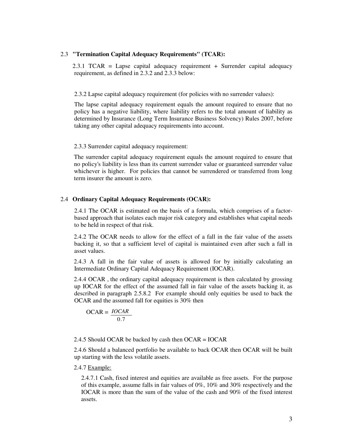#### 2.3 **"Termination Capital Adequacy Requirements" (TCAR):**

2.3.1 TCAR = Lapse capital adequacy requirement + Surrender capital adequacy requirement, as defined in 2.3.2 and 2.3.3 below:

#### 2.3.2 Lapse capital adequacy requirement (for policies with no surrender values):

The lapse capital adequacy requirement equals the amount required to ensure that no policy has a negative liability, where liability refers to the total amount of liability as determined by Insurance (Long Term Insurance Business Solvency) Rules 2007, before taking any other capital adequacy requirements into account.

#### 2.3.3 Surrender capital adequacy requirement:

The surrender capital adequacy requirement equals the amount required to ensure that no policy's liability is less than its current surrender value or guaranteed surrender value whichever is higher. For policies that cannot be surrendered or transferred from long term insurer the amount is zero.

#### 2.4 **Ordinary Capital Adequacy Requirements (OCAR):**

2.4.1 The OCAR is estimated on the basis of a formula, which comprises of a factorbased approach that isolates each major risk category and establishes what capital needs to be held in respect of that risk.

2.4.2 The OCAR needs to allow for the effect of a fall in the fair value of the assets backing it, so that a sufficient level of capital is maintained even after such a fall in asset values.

2.4.3 A fall in the fair value of assets is allowed for by initially calculating an Intermediate Ordinary Capital Adequacy Requirement (IOCAR).

2.4.4 OCAR , the ordinary capital adequacy requirement is then calculated by grossing up IOCAR for the effect of the assumed fall in fair value of the assets backing it, as described in paragraph 2.5.8.2 For example should only equities be used to back the OCAR and the assumed fall for equities is 30% then

$$
OCAR = \frac{IOCAR}{0.7}
$$

2.4.5 Should OCAR be backed by cash then OCAR = IOCAR

2.4.6 Should a balanced portfolio be available to back OCAR then OCAR will be built up starting with the less volatile assets.

#### 2.4.7 Example:

 2.4.7.1 Cash, fixed interest and equities are available as free assets. For the purpose of this example, assume falls in fair values of 0%, 10% and 30% respectively and the IOCAR is more than the sum of the value of the cash and 90% of the fixed interest assets.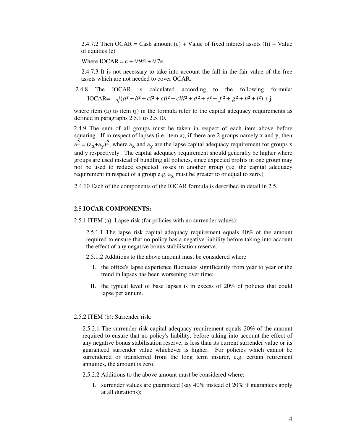2.4.7.2 Then OCAR = Cash amount  $(c)$  + Value of fixed interest assets  $(f_i)$  + Value of equities (e)

Where  $IOCAR = c + 0.9fi + 0.7e$ 

2.4.7.3 It is not necessary to take into account the fall in the fair value of the free assets which are not needed to cover OCAR.

2.4.8 The IOCAR is calculated according to the following formula:  
IOCAR = 
$$
\sqrt{(a^2 + b^2 + ci^2 + cii^2 + ciii^2 + d^2 + e^2 + f^2 + g^2 + h^2 + i^2)} + j
$$

where item (a) to item (j) in the formula refer to the capital adequacy requirements as defined in paragraphs 2.5.1 to 2.5.10.

2.4.9 The sum of all groups must be taken in respect of each item above before squaring. If in respect of lapses (i.e. item a), if there are 2 groups namely x and y, then  $a^2 = (a_x + a_y)^2$ , where  $a_x$  and  $a_y$  are the lapse capital adequacy requirement for groups x and y respectively. The capital adequacy requirement should generally be higher where groups are used instead of bundling all policies, since expected profits in one group may not be used to reduce expected losses in another group (i.e. the capital adequacy requirement in respect of a group e.g.  $a_X$  must be greater to or equal to zero.)

2.4.10 Each of the components of the IOCAR formula is described in detail in 2.5.

#### **2.5 IOCAR COMPONENTS:**

2.5.1 ITEM (a): Lapse risk (for policies with no surrender values):

2.5.1.1 The lapse risk capital adequacy requirement equals 40% of the amount required to ensure that no policy has a negative liability before taking into account the effect of any negative bonus stabilisation reserve.

2.5.1.2 Additions to the above amount must be considered where

- I. the office's lapse experience fluctuates significantly from year to year or the trend in lapses has been worsening over time;
- II. the typical level of base lapses is in excess of 20% of policies that could lapse per annum.

#### 2.5.2 ITEM (b): Surrender risk:

 2.5.2.1 The surrender risk capital adequacy requirement equals 20% of the amount required to ensure that no policy's liability, before taking into account the effect of any negative bonus stabilisation reserve, is less than its current surrender value or its guaranteed surrender value whichever is higher. For policies which cannot be surrendered or transferred from the long term insurer, e.g. certain retirement annuities, the amount is zero.

2.5.2.2 Additions to the above amount must be considered where:

I. surrender values are guaranteed (say 40% instead of 20% if guarantees apply at all durations);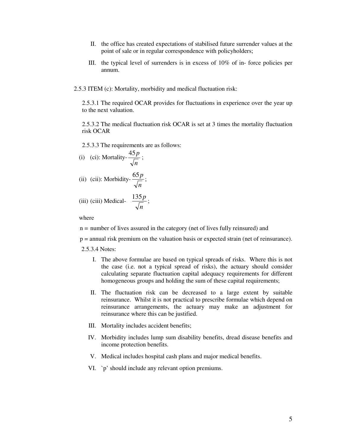- II. the office has created expectations of stabilised future surrender values at the point of sale or in regular correspondence with policyholders;
- III. the typical level of surrenders is in excess of 10% of in- force policies per annum.
- 2.5.3 ITEM (c): Mortality, morbidity and medical fluctuation risk:

2.5.3.1 The required OCAR provides for fluctuations in experience over the year up to the next valuation.

2.5.3.2 The medical fluctuation risk OCAR is set at 3 times the mortality fluctuation risk OCAR

2.5.3.3 The requirements are as follows:

(i) (ci): Mortality-
$$
\frac{45p}{\sqrt{n}}
$$
;

(ii) (cii): Morbidity-
$$
\frac{65p}{\sqrt{n}}
$$
;

(iii) (ciii) Medical- 
$$
\frac{135p}{\sqrt{n}}
$$
;

where

n = number of lives assured in the category (net of lives fully reinsured) and

p = annual risk premium on the valuation basis or expected strain (net of reinsurance).

2.5.3.4 Notes:

- I. The above formulae are based on typical spreads of risks. Where this is not the case (i.e. not a typical spread of risks), the actuary should consider calculating separate fluctuation capital adequacy requirements for different homogeneous groups and holding the sum of these capital requirements;
- II. The fluctuation risk can be decreased to a large extent by suitable reinsurance. Whilst it is not practical to prescribe formulae which depend on reinsurance arrangements, the actuary may make an adjustment for reinsurance where this can be justified.
- III. Mortality includes accident benefits;
- IV. Morbidity includes lump sum disability benefits, dread disease benefits and income protection benefits.
- V. Medical includes hospital cash plans and major medical benefits.
- VI. `p' should include any relevant option premiums.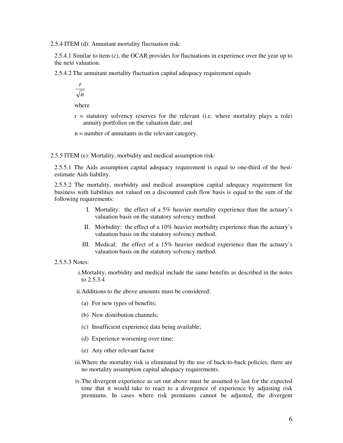2.5.4 ITEM (d): Annuitant mortality fluctuation risk:

2.5.4.1 Similar to item (c), the OCAR provides for fluctuations in experience over the year up to the next valuation.

2.5.4.2 The annuitant mortality fluctuation capital adequacy requirement equals

$$
\frac{r}{\sqrt{n}}
$$

where

- r = statutory solvency reserves for the relevant (i.e. where mortality plays a role) annuity portfolios on the valuation date; and
- n = number of annuitants in the relevant category.

2.5.5 ITEM (e): Mortality, morbidity and medical assumption risk:

2.5.5.1 The Aids assumption capital adequacy requirement is equal to one-third of the bestestimate Aids liability.

2.5.5.2 The mortality, morbidity and medical assumption capital adequacy requirement for business with liabilities not valued on a discounted cash flow basis is equal to the sum of the following requirements:

- I. Mortality: the effect of a 5% heavier mortality experience than the actuary's valuation basis on the statutory solvency method.
- II. Morbidity: the effect of a 10% heavier morbidity experience than the actuary's valuation basis on the statutory solvency method.
- III. Medical: the effect of a 15% heavier medical experience than the actuary's valuation basis on the statutory solvency method.

#### 2.5.5.3 Notes:

i.Mortality, morbidity and medical include the same benefits as described in the notes to 2.5.3.4

ii.Additions to the above amounts must be considered:

- (a) For new types of benefits;
- (b) New distribution channels;
- (c) Insufficient experience data being available;
- (d) Experience worsening over time;
- (e) Any other relevant factor
- iii.Where the mortality risk is eliminated by the use of back-to-back policies, there are no mortality assumption capital adequacy requirements.
- iv.The divergent experience as set out above must be assumed to last for the expected time that it would take to react to a divergence of experience by adjusting risk premiums. In cases where risk premiums cannot be adjusted, the divergent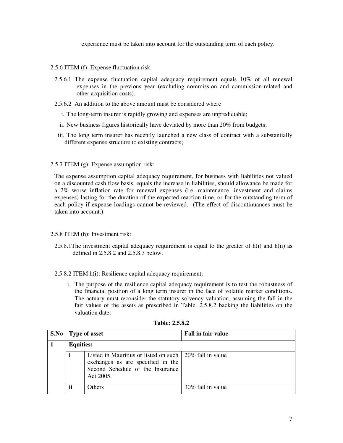experience must be taken into account for the outstanding term of each policy.

- 2.5.6 ITEM (f): Expense fluctuation risk:
- 2.5.6.1 The expense fluctuation capital adequacy requirement equals 10% of all renewal expenses in the previous year (excluding commission and commission-related and other acquisition costs).
- 2.5.6.2 An addition to the above amount must be considered where
	- i. The long-term insurer is rapidly growing and expenses are unpredictable;
	- ii. New business figures historically have deviated by more than 20% from budgets;
	- iii. The long term insurer has recently launched a new class of contract with a substantially different expense structure to existing contracts;

#### 2.5.7 ITEM (g): Expense assumption risk:

The expense assumption capital adequacy requirement, for business with liabilities not valued on a discounted cash flow basis, equals the increase in liabilities, should allowance be made for a 2% worse inflation rate for renewal expenses (i.e. maintenance, investment and claims expenses) lasting for the duration of the expected reaction time, or for the outstanding term of each policy if expense loadings cannot be reviewed. (The effect of discontinuances must be taken into account.)

#### 2.5.8 ITEM (h): Investment risk:

2.5.8.1The investment capital adequacy requirement is equal to the greater of h(i) and h(ii) as defined in 2.5.8.2 and 2.5.8.3 below.

#### 2.5.8.2 ITEM h(i): Resilience capital adequacy requirement:

i. The purpose of the resilience capital adequacy requirement is to test the robustness of the financial position of a long term insurer in the face of volatile market conditions. The actuary must reconsider the statutory solvency valuation, assuming the fall in the fair values of the assets as prescribed in Table: 2.5.8.2 backing the liabilities on the valuation date:

| S.No | <b>Type of asset</b> |                                                                                                                                               | <b>Fall in fair value</b> |  |
|------|----------------------|-----------------------------------------------------------------------------------------------------------------------------------------------|---------------------------|--|
|      |                      | <b>Equities:</b>                                                                                                                              |                           |  |
|      | i                    | Listed in Mauritius or listed on such 20% fall in value<br>exchanges as are specified in the<br>Second Schedule of the Insurance<br>Act 2005. |                           |  |
|      | ii                   | Others                                                                                                                                        | 30% fall in value         |  |

#### **Table: 2.5.8.2**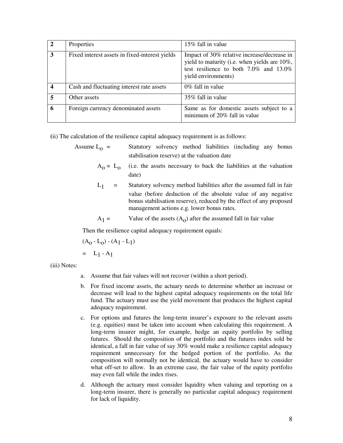|                         | Properties                                     | 15% fall in value                                                                                                                                                  |
|-------------------------|------------------------------------------------|--------------------------------------------------------------------------------------------------------------------------------------------------------------------|
| $\overline{\mathbf{3}}$ | Fixed interest assets in fixed-interest yields | Impact of 30% relative increase/decrease in<br>yield to maturity (i.e. when yields are 10%,<br>test resilience to both $7.0\%$ and $13.0\%$<br>yield environments) |
|                         | Cash and fluctuating interest rate assets      | $0\%$ fall in value                                                                                                                                                |
| 5                       | Other assets                                   | 35% fall in value                                                                                                                                                  |
| 6                       | Foreign currency denominated assets            | Same as for domestic assets subject to a<br>minimum of 20% fall in value                                                                                           |

**(**ii) The calculation of the resilience capital adequacy requirement is as follows:

Assume  $L_0$  = Statutory solvency method liabilities (including any bonus stabilisation reserve) at the valuation date

- $A_0 = L_0$  (i.e. the assets necessary to back the liabilities at the valuation date)
	- $L_1$  = Statutory solvency method liabilities after the assumed fall in fair value (before deduction of the absolute value of any negative bonus stabilisation reserve), reduced by the effect of any proposed management actions e.g. lower bonus rates.

 $A_1 =$  Value of the assets  $(A_0)$  after the assumed fall in fair value

Then the resilience capital adequacy requirement equals:

$$
(\mathbf{A}_0 - \mathbf{L}_0) - (\mathbf{A}_1 - \mathbf{L}_1)
$$

$$
= L_1 - A_1
$$

(iii) Notes:

- a. Assume that fair values will not recover (within a short period).
- b. For fixed income assets, the actuary needs to determine whether an increase or decrease will lead to the highest capital adequacy requirements on the total life fund. The actuary must use the yield movement that produces the highest capital adequacy requirement.
- c. For options and futures the long-term insurer's exposure to the relevant assets (e.g. equities) must be taken into account when calculating this requirement. A long-term insurer might, for example, hedge an equity portfolio by selling futures. Should the composition of the portfolio and the futures index sold be identical, a fall in fair value of say 30% would make a resilience capital adequacy requirement unnecessary for the hedged portion of the portfolio. As the composition will normally not be identical, the actuary would have to consider what off-set to allow. In an extreme case, the fair value of the equity portfolio may even fall while the index rises.
- d. Although the actuary must consider liquidity when valuing and reporting on a long-term insurer, there is generally no particular capital adequacy requirement for lack of liquidity.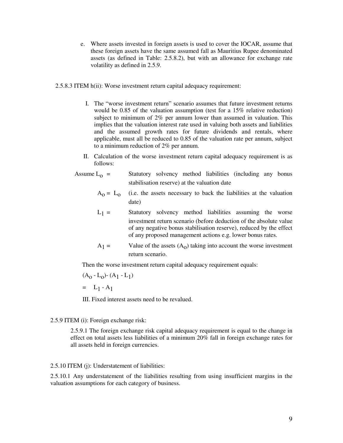- e. Where assets invested in foreign assets is used to cover the IOCAR, assume that these foreign assets have the same assumed fall as Mauritius Rupee denominated assets (as defined in Table: 2.5.8.2), but with an allowance for exchange rate volatility as defined in 2.5.9.
- 2.5.8.3 ITEM h(ii): Worse investment return capital adequacy requirement:
	- I. The "worse investment return" scenario assumes that future investment returns would be 0.85 of the valuation assumption (test for a 15% relative reduction) subject to minimum of 2% per annum lower than assumed in valuation. This implies that the valuation interest rate used in valuing both assets and liabilities and the assumed growth rates for future dividends and rentals, where applicable, must all be reduced to 0.85 of the valuation rate per annum, subject to a minimum reduction of 2% per annum.
	- II. Calculation of the worse investment return capital adequacy requirement is as follows:
	- Assume  $L_0$  = Statutory solvency method liabilities (including any bonus stabilisation reserve) at the valuation date
- $A_0 = L_0$  (i.e. the assets necessary to back the liabilities at the valuation date)
	- $L_1$  = Statutory solvency method liabilities assuming the worse investment return scenario (before deduction of the absolute value of any negative bonus stabilisation reserve), reduced by the effect of any proposed management actions e.g. lower bonus rates.
	- $A_1 =$  $=$  Value of the assets  $(A_0)$  taking into account the worse investment return scenario.

Then the worse investment return capital adequacy requirement equals:

$$
(A_0 - L_0) - (A_1 - L_1)
$$

 $= L_1 - A_1$ 

III. Fixed interest assets need to be revalued.

#### 2.5.9 ITEM (i): Foreign exchange risk:

2.5.9.1 The foreign exchange risk capital adequacy requirement is equal to the change in effect on total assets less liabilities of a minimum 20% fall in foreign exchange rates for all assets held in foreign currencies.

#### 2.5.10 ITEM (j): Understatement of liabilities:

2.5.10.1 Any understatement of the liabilities resulting from using insufficient margins in the valuation assumptions for each category of business.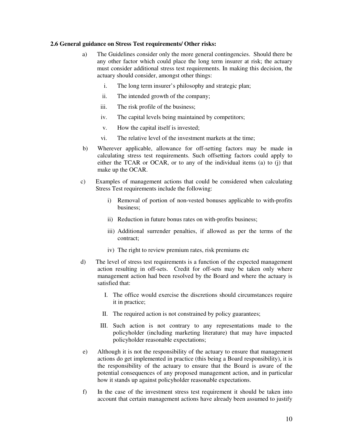#### **2.6 General guidance on Stress Test requirements/ Other risks:**

- a) The Guidelines consider only the more general contingencies. Should there be any other factor which could place the long term insurer at risk; the actuary must consider additional stress test requirements. In making this decision, the actuary should consider, amongst other things:
	- i. The long term insurer's philosophy and strategic plan;
	- ii. The intended growth of the company;
	- iii. The risk profile of the business;
	- iv. The capital levels being maintained by competitors;
	- v. How the capital itself is invested;
	- vi. The relative level of the investment markets at the time;
- b) Wherever applicable, allowance for off-setting factors may be made in calculating stress test requirements. Such offsetting factors could apply to either the TCAR or OCAR, or to any of the individual items (a) to (j) that make up the OCAR.
- c) Examples of management actions that could be considered when calculating Stress Test requirements include the following:
	- i) Removal of portion of non-vested bonuses applicable to with-profits business;
	- ii) Reduction in future bonus rates on with-profits business;
	- iii) Additional surrender penalties, if allowed as per the terms of the contract;
	- iv) The right to review premium rates, risk premiums etc
- d) The level of stress test requirements is a function of the expected management action resulting in off-sets. Credit for off-sets may be taken only where management action had been resolved by the Board and where the actuary is satisfied that:
	- I. The office would exercise the discretions should circumstances require it in practice;
	- II. The required action is not constrained by policy guarantees;
	- III. Such action is not contrary to any representations made to the policyholder (including marketing literature) that may have impacted policyholder reasonable expectations;
- e) Although it is not the responsibility of the actuary to ensure that management actions do get implemented in practice (this being a Board responsibility), it is the responsibility of the actuary to ensure that the Board is aware of the potential consequences of any proposed management action, and in particular how it stands up against policyholder reasonable expectations.
- f) In the case of the investment stress test requirement it should be taken into account that certain management actions have already been assumed to justify